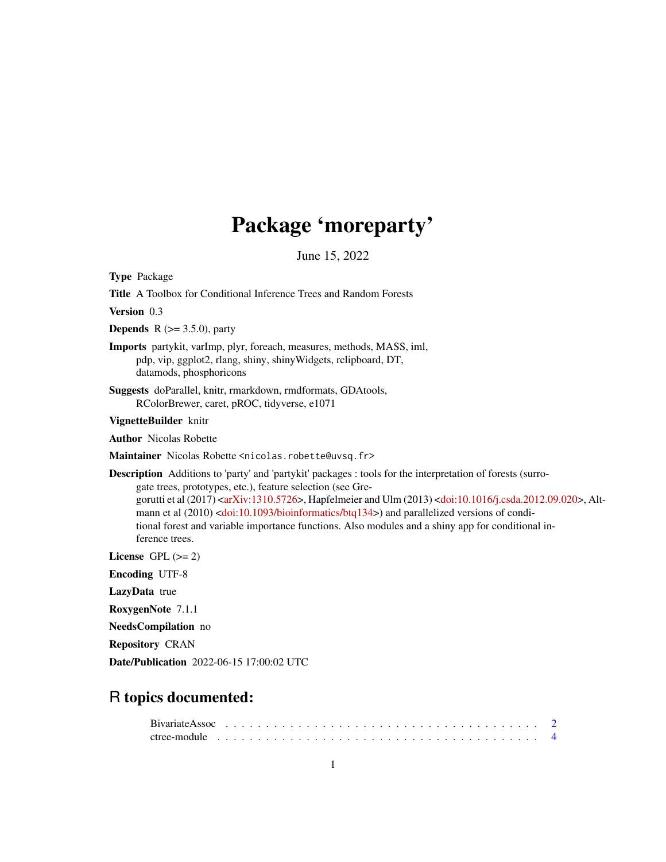# Package 'moreparty'

June 15, 2022

<span id="page-0-0"></span>Type Package

Title A Toolbox for Conditional Inference Trees and Random Forests

Version 0.3

**Depends** R  $(>= 3.5.0)$ , party

Imports partykit, varImp, plyr, foreach, measures, methods, MASS, iml, pdp, vip, ggplot2, rlang, shiny, shinyWidgets, rclipboard, DT, datamods, phosphoricons

Suggests doParallel, knitr, rmarkdown, rmdformats, GDAtools, RColorBrewer, caret, pROC, tidyverse, e1071

VignetteBuilder knitr

Author Nicolas Robette

Maintainer Nicolas Robette <nicolas.robette@uvsq.fr>

Description Additions to 'party' and 'partykit' packages : tools for the interpretation of forests (surrogate trees, prototypes, etc.), feature selection (see Gregorutti et al (2017) [<arXiv:1310.5726>](https://arxiv.org/abs/1310.5726), Hapfelmeier and Ulm (2013) [<doi:10.1016/j.csda.2012.09.020>](https://doi.org/10.1016/j.csda.2012.09.020), Alt-mann et al (2010) [<doi:10.1093/bioinformatics/btq134>](https://doi.org/10.1093/bioinformatics/btq134)) and parallelized versions of conditional forest and variable importance functions. Also modules and a shiny app for conditional inference trees.

License GPL  $(>= 2)$ 

Encoding UTF-8

LazyData true

RoxygenNote 7.1.1

NeedsCompilation no

Repository CRAN

Date/Publication 2022-06-15 17:00:02 UTC

# R topics documented: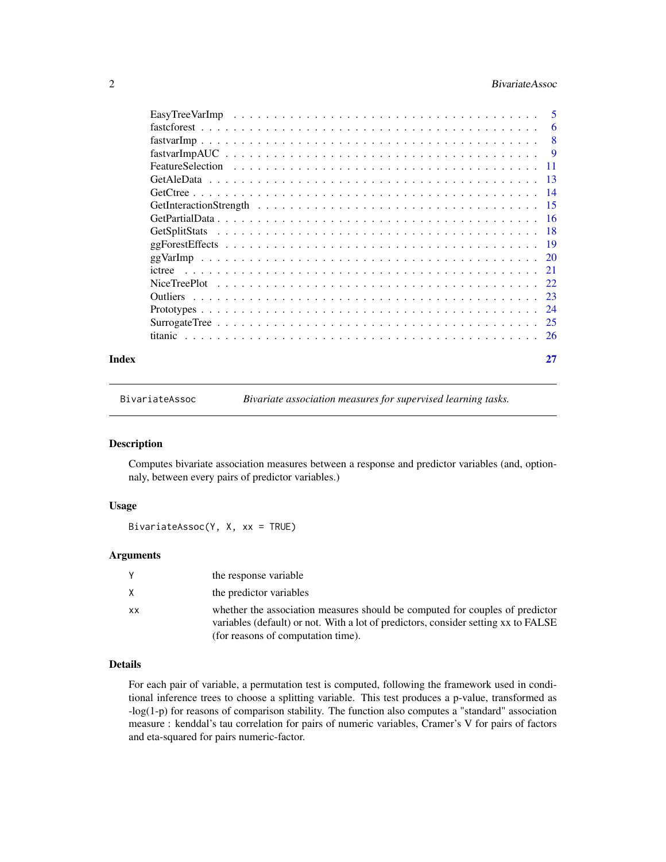# <span id="page-1-0"></span>2 BivariateAssoc

|       | ictree |    |
|-------|--------|----|
|       |        |    |
|       |        |    |
|       |        |    |
|       |        |    |
|       |        |    |
| Index |        | 27 |

BivariateAssoc *Bivariate association measures for supervised learning tasks.*

#### Description

Computes bivariate association measures between a response and predictor variables (and, optionnaly, between every pairs of predictor variables.)

# Usage

BivariateAssoc(Y, X, xx = TRUE)

#### Arguments

|    | the response variable                                                                                                                                              |
|----|--------------------------------------------------------------------------------------------------------------------------------------------------------------------|
|    | the predictor variables                                                                                                                                            |
| xх | whether the association measures should be computed for couples of predictor<br>variables (default) or not. With a lot of predictors, consider setting xx to FALSE |
|    | (for reasons of computation time).                                                                                                                                 |

# Details

For each pair of variable, a permutation test is computed, following the framework used in conditional inference trees to choose a splitting variable. This test produces a p-value, transformed as -log(1-p) for reasons of comparison stability. The function also computes a "standard" association measure : kenddal's tau correlation for pairs of numeric variables, Cramer's V for pairs of factors and eta-squared for pairs numeric-factor.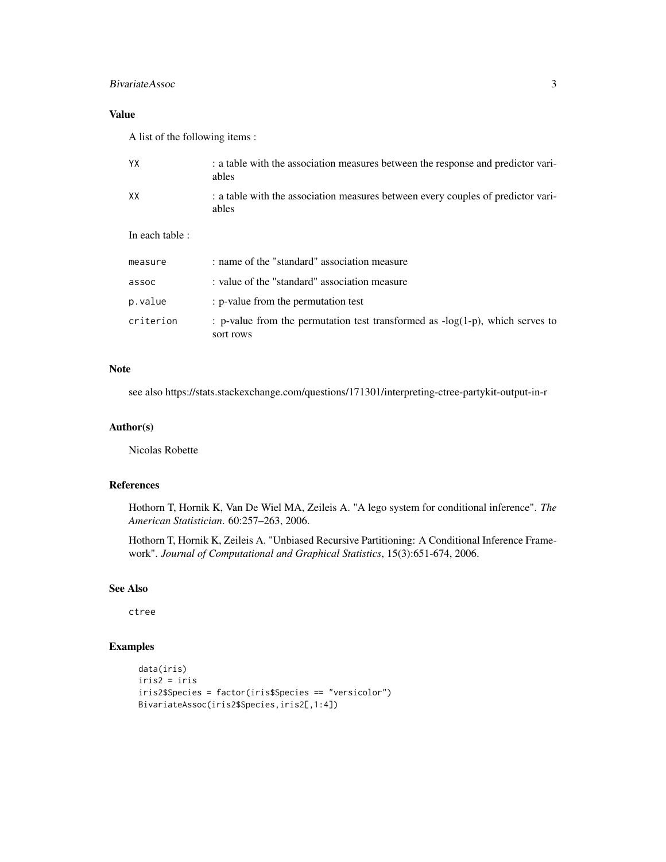# BivariateAssoc 3

# Value

A list of the following items :

| YX              | : a table with the association measures between the response and predictor vari-<br>ables     |
|-----------------|-----------------------------------------------------------------------------------------------|
| XX              | : a table with the association measures between every couples of predictor vari-<br>ables     |
| In each table : |                                                                                               |
| measure         | : name of the "standard" association measure                                                  |
| assoc           | : value of the "standard" association measure                                                 |
| p.value         | : p-value from the permutation test                                                           |
| criterion       | : p-value from the permutation test transformed as $-log(1-p)$ , which serves to<br>sort rows |

#### Note

see also https://stats.stackexchange.com/questions/171301/interpreting-ctree-partykit-output-in-r

#### Author(s)

Nicolas Robette

# References

Hothorn T, Hornik K, Van De Wiel MA, Zeileis A. "A lego system for conditional inference". *The American Statistician*. 60:257–263, 2006.

Hothorn T, Hornik K, Zeileis A. "Unbiased Recursive Partitioning: A Conditional Inference Framework". *Journal of Computational and Graphical Statistics*, 15(3):651-674, 2006.

#### See Also

ctree

```
data(iris)
iris2 = iris
iris2$Species = factor(iris$Species == "versicolor")
BivariateAssoc(iris2$Species,iris2[,1:4])
```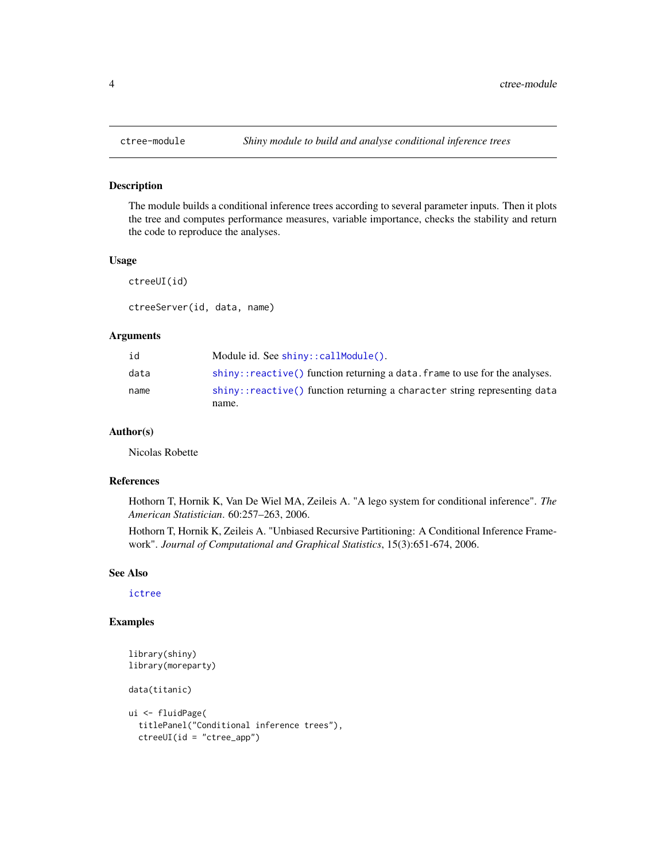# Description

The module builds a conditional inference trees according to several parameter inputs. Then it plots the tree and computes performance measures, variable importance, checks the stability and return the code to reproduce the analyses.

#### Usage

ctreeUI(id)

ctreeServer(id, data, name)

# Arguments

| id   | Module id. See shiny::callModule().                                         |
|------|-----------------------------------------------------------------------------|
| data | shiny::reactive() function returning a data. frame to use for the analyses. |
| name | shiny::reactive() function returning a character string representing data   |
|      | name.                                                                       |

# Author(s)

Nicolas Robette

#### References

Hothorn T, Hornik K, Van De Wiel MA, Zeileis A. "A lego system for conditional inference". *The American Statistician*. 60:257–263, 2006.

Hothorn T, Hornik K, Zeileis A. "Unbiased Recursive Partitioning: A Conditional Inference Framework". *Journal of Computational and Graphical Statistics*, 15(3):651-674, 2006.

# See Also

[ictree](#page-20-1)

```
library(shiny)
library(moreparty)
data(titanic)
ui <- fluidPage(
```

```
titlePanel("Conditional inference trees"),
```

```
ctreeUI(id = "ctree_app")
```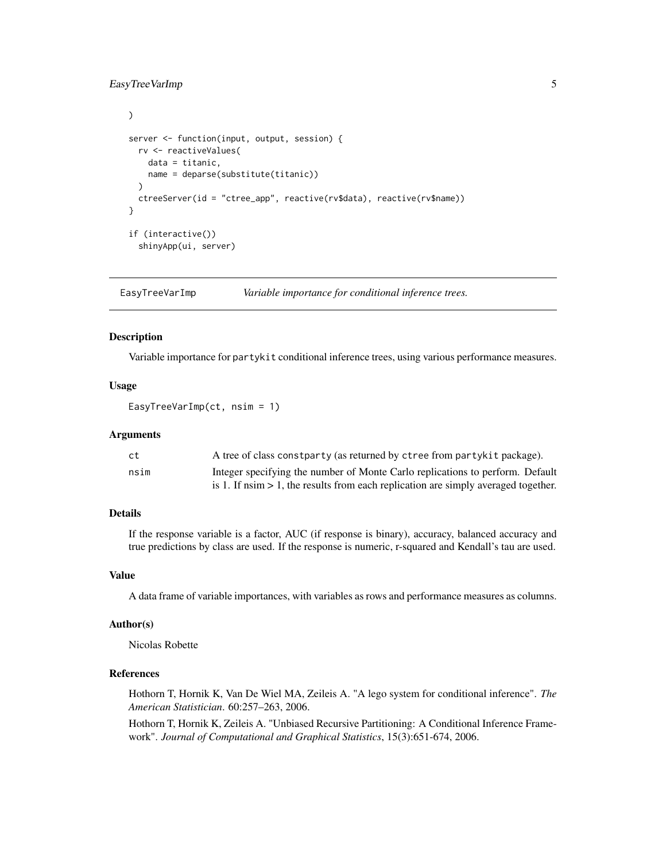# <span id="page-4-0"></span>EasyTreeVarImp 5

```
\mathcal{L}server <- function(input, output, session) {
 rv <- reactiveValues(
   data = titanic,
   name = deparse(substitute(titanic))
 )
 ctreeServer(id = "ctree_app", reactive(rv$data), reactive(rv$name))
}
if (interactive())
 shinyApp(ui, server)
```
EasyTreeVarImp *Variable importance for conditional inference trees.*

#### Description

Variable importance for partykit conditional inference trees, using various performance measures.

# Usage

EasyTreeVarImp(ct, nsim = 1)

#### Arguments

| ct   | A tree of class constparty (as returned by ctree from partykit package).                       |
|------|------------------------------------------------------------------------------------------------|
| nsim | Integer specifying the number of Monte Carlo replications to perform. Default                  |
|      | is 1. If $n \sin \theta > 1$ , the results from each replication are simply averaged together. |

# Details

If the response variable is a factor, AUC (if response is binary), accuracy, balanced accuracy and true predictions by class are used. If the response is numeric, r-squared and Kendall's tau are used.

# Value

A data frame of variable importances, with variables as rows and performance measures as columns.

# Author(s)

Nicolas Robette

# References

Hothorn T, Hornik K, Van De Wiel MA, Zeileis A. "A lego system for conditional inference". *The American Statistician*. 60:257–263, 2006.

Hothorn T, Hornik K, Zeileis A. "Unbiased Recursive Partitioning: A Conditional Inference Framework". *Journal of Computational and Graphical Statistics*, 15(3):651-674, 2006.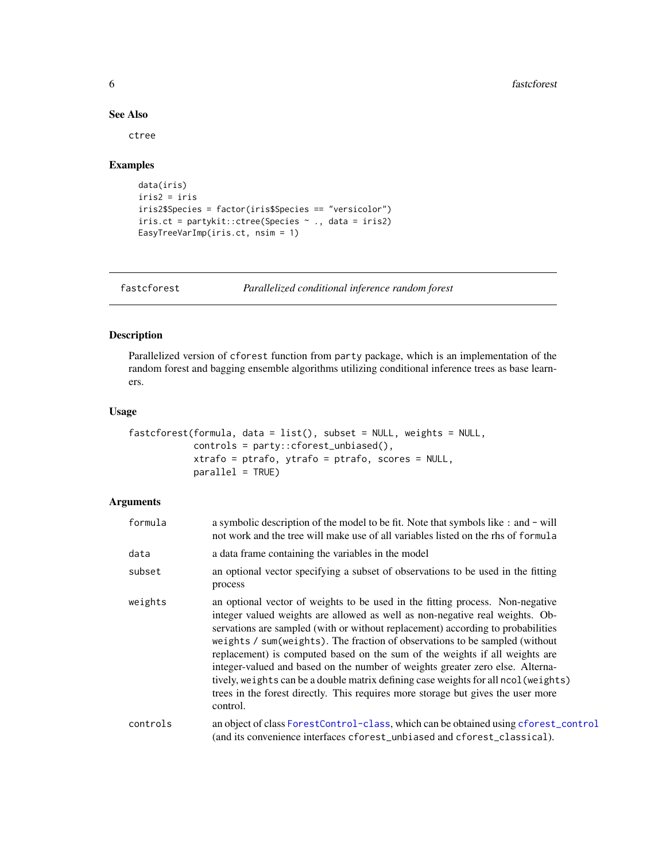#### See Also

ctree

# Examples

```
data(iris)
iris2 = iris
iris2$Species = factor(iris$Species == "versicolor")
iris.ct = partykit::ctree(Species ~ ., data = iris2)
EasyTreeVarImp(iris.ct, nsim = 1)
```
<span id="page-5-1"></span>fastcforest *Parallelized conditional inference random forest*

# Description

Parallelized version of cforest function from party package, which is an implementation of the random forest and bagging ensemble algorithms utilizing conditional inference trees as base learners.

# Usage

```
fastcforest(formula, data = list(), subset = NULL, weights = NULL,controls = party::cforest_unbiased(),
           xtrafo = ptrafo, ytrafo = ptrafo, scores = NULL,
           parallel = TRUE)
```
# Arguments

| formula  | a symbolic description of the model to be fit. Note that symbols like : and - will<br>not work and the tree will make use of all variables listed on the rhs of formula                                                                                                                                                                                                                                                                                                                                                                                                                                                                                                                |
|----------|----------------------------------------------------------------------------------------------------------------------------------------------------------------------------------------------------------------------------------------------------------------------------------------------------------------------------------------------------------------------------------------------------------------------------------------------------------------------------------------------------------------------------------------------------------------------------------------------------------------------------------------------------------------------------------------|
| data     | a data frame containing the variables in the model                                                                                                                                                                                                                                                                                                                                                                                                                                                                                                                                                                                                                                     |
| subset   | an optional vector specifying a subset of observations to be used in the fitting<br>process                                                                                                                                                                                                                                                                                                                                                                                                                                                                                                                                                                                            |
| weights  | an optional vector of weights to be used in the fitting process. Non-negative<br>integer valued weights are allowed as well as non-negative real weights. Ob-<br>servations are sampled (with or without replacement) according to probabilities<br>weights / sum(weights). The fraction of observations to be sampled (without<br>replacement) is computed based on the sum of the weights if all weights are<br>integer-valued and based on the number of weights greater zero else. Alterna-<br>tively, weights can be a double matrix defining case weights for all ncol (weights)<br>trees in the forest directly. This requires more storage but gives the user more<br>control. |
| controls | an object of class ForestControl-class, which can be obtained using cforest_control<br>(and its convenience interfaces cforest_unbiased and cforest_classical).                                                                                                                                                                                                                                                                                                                                                                                                                                                                                                                        |

<span id="page-5-0"></span>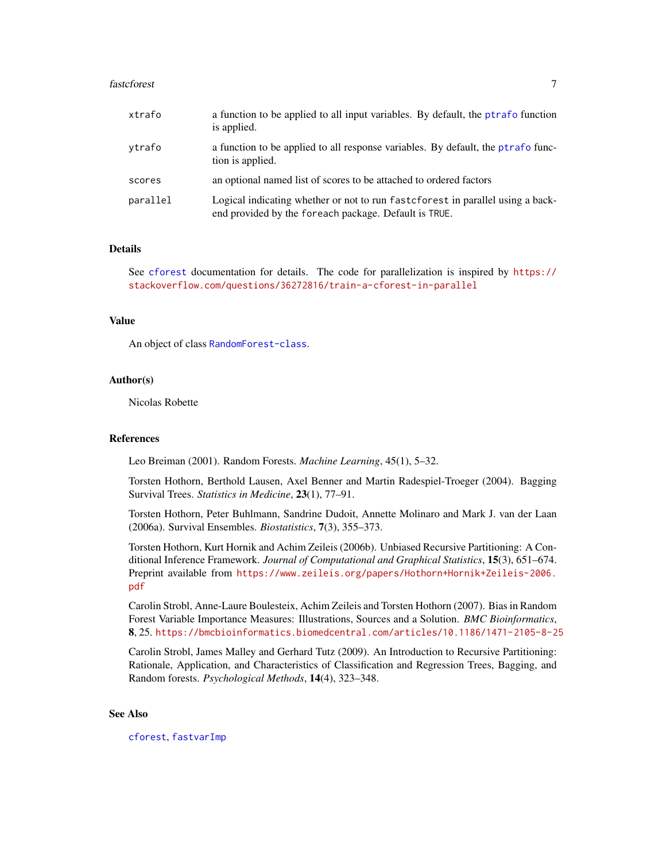#### <span id="page-6-0"></span>fastcforest 7

| xtrafo   | a function to be applied to all input variables. By default, the ptrafo function<br>is applied.                                          |
|----------|------------------------------------------------------------------------------------------------------------------------------------------|
| vtrafo   | a function to be applied to all response variables. By default, the ptrafo func-<br>tion is applied.                                     |
| scores   | an optional named list of scores to be attached to ordered factors                                                                       |
| parallel | Logical indicating whether or not to run fast cforest in parallel using a back-<br>end provided by the foreach package. Default is TRUE. |

#### Details

See [cforest](#page-0-0) documentation for details. The code for parallelization is inspired by [https://](https://stackoverflow.com/questions/36272816/train-a-cforest-in-parallel) [stackoverflow.com/questions/36272816/train-a-cforest-in-parallel](https://stackoverflow.com/questions/36272816/train-a-cforest-in-parallel)

#### Value

An object of class [RandomForest-class](#page-0-0).

#### Author(s)

Nicolas Robette

#### References

Leo Breiman (2001). Random Forests. *Machine Learning*, 45(1), 5–32.

Torsten Hothorn, Berthold Lausen, Axel Benner and Martin Radespiel-Troeger (2004). Bagging Survival Trees. *Statistics in Medicine*, 23(1), 77–91.

Torsten Hothorn, Peter Buhlmann, Sandrine Dudoit, Annette Molinaro and Mark J. van der Laan (2006a). Survival Ensembles. *Biostatistics*, 7(3), 355–373.

Torsten Hothorn, Kurt Hornik and Achim Zeileis (2006b). Unbiased Recursive Partitioning: A Conditional Inference Framework. *Journal of Computational and Graphical Statistics*, 15(3), 651–674. Preprint available from [https://www.zeileis.org/papers/Hothorn+Hornik+Zeileis-2006.](https://www.zeileis.org/papers/Hothorn+Hornik+Zeileis-2006.pdf) [pdf](https://www.zeileis.org/papers/Hothorn+Hornik+Zeileis-2006.pdf)

Carolin Strobl, Anne-Laure Boulesteix, Achim Zeileis and Torsten Hothorn (2007). Bias in Random Forest Variable Importance Measures: Illustrations, Sources and a Solution. *BMC Bioinformatics*, 8, 25. <https://bmcbioinformatics.biomedcentral.com/articles/10.1186/1471-2105-8-25>

Carolin Strobl, James Malley and Gerhard Tutz (2009). An Introduction to Recursive Partitioning: Rationale, Application, and Characteristics of Classification and Regression Trees, Bagging, and Random forests. *Psychological Methods*, 14(4), 323–348.

#### See Also

[cforest](#page-0-0), [fastvarImp](#page-7-1)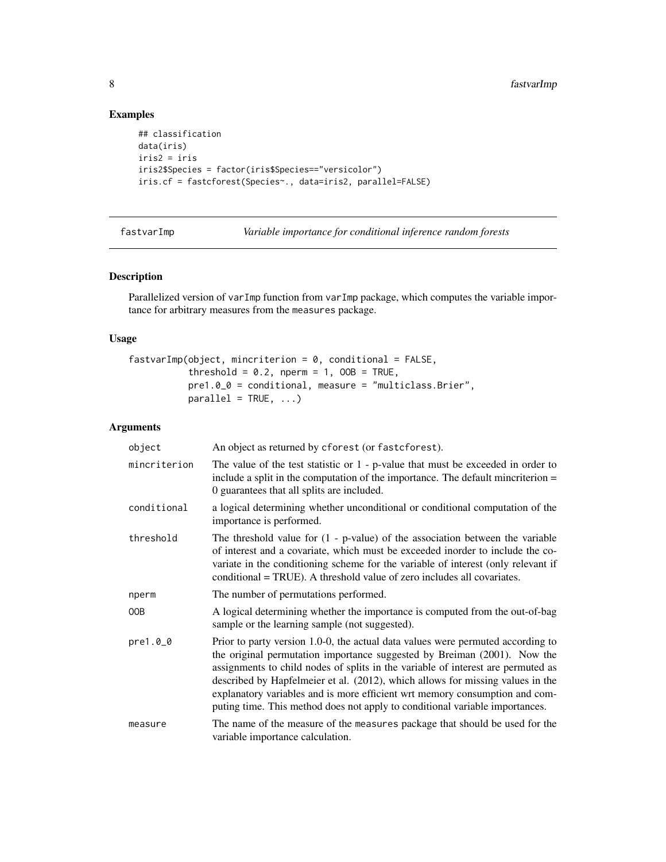# Examples

```
## classification
data(iris)
iris2 = iris
iris2$Species = factor(iris$Species=="versicolor")
iris.cf = fastcforest(Species~., data=iris2, parallel=FALSE)
```
<span id="page-7-1"></span>fastvarImp *Variable importance for conditional inference random forests*

# Description

Parallelized version of varImp function from varImp package, which computes the variable importance for arbitrary measures from the measures package.

#### Usage

```
fastvarImp(object, mincriterion = 0, conditional = FALSE,threshold = 0.2, nperm = 1, OOB = TRUE,
          pre1.0_0 = conditional, measure = "multiclass.Brier",
          parallel = TRUE, ...
```
# Arguments

| object       | An object as returned by cforest (or fastcforest).                                                                                                                                                                                                                                                                                                                                                                                                                                               |
|--------------|--------------------------------------------------------------------------------------------------------------------------------------------------------------------------------------------------------------------------------------------------------------------------------------------------------------------------------------------------------------------------------------------------------------------------------------------------------------------------------------------------|
| mincriterion | The value of the test statistic or $1$ - p-value that must be exceeded in order to<br>include a split in the computation of the importance. The default minoriterion $=$<br>0 guarantees that all splits are included.                                                                                                                                                                                                                                                                           |
| conditional  | a logical determining whether unconditional or conditional computation of the<br>importance is performed.                                                                                                                                                                                                                                                                                                                                                                                        |
| threshold    | The threshold value for $(1 - p-value)$ of the association between the variable<br>of interest and a covariate, which must be exceeded inorder to include the co-<br>variate in the conditioning scheme for the variable of interest (only relevant if<br>conditional = TRUE). A threshold value of zero includes all covariates.                                                                                                                                                                |
| nperm        | The number of permutations performed.                                                                                                                                                                                                                                                                                                                                                                                                                                                            |
| 00B          | A logical determining whether the importance is computed from the out-of-bag<br>sample or the learning sample (not suggested).                                                                                                                                                                                                                                                                                                                                                                   |
| pre1.00      | Prior to party version 1.0-0, the actual data values were permuted according to<br>the original permutation importance suggested by Breiman (2001). Now the<br>assignments to child nodes of splits in the variable of interest are permuted as<br>described by Hapfelmeier et al. (2012), which allows for missing values in the<br>explanatory variables and is more efficient wrt memory consumption and com-<br>puting time. This method does not apply to conditional variable importances. |
| measure      | The name of the measure of the measures package that should be used for the<br>variable importance calculation.                                                                                                                                                                                                                                                                                                                                                                                  |

<span id="page-7-0"></span>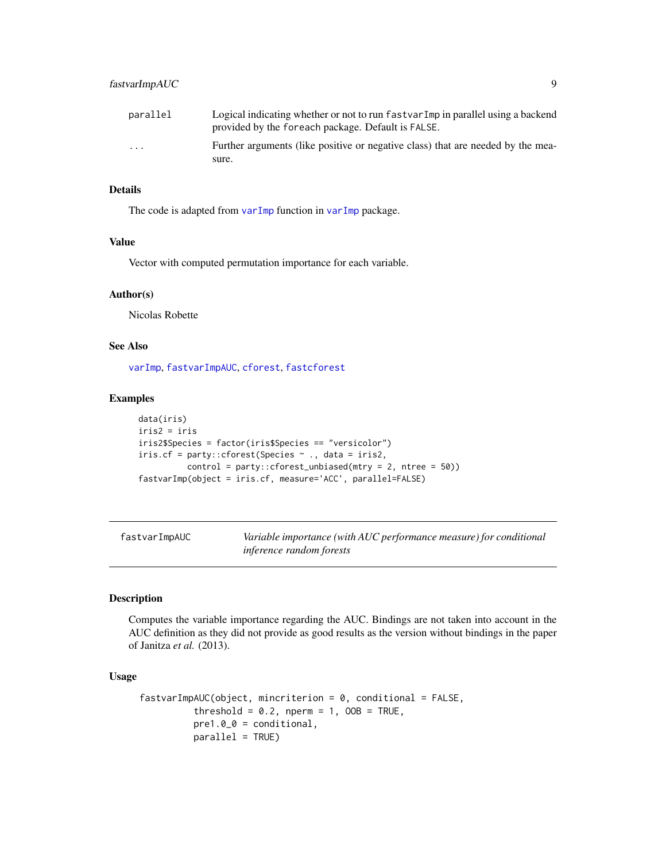<span id="page-8-0"></span>

| parallel | Logical indicating whether or not to run fastvar Imp in parallel using a backend<br>provided by the foreach package. Default is FALSE. |
|----------|----------------------------------------------------------------------------------------------------------------------------------------|
| $\cdot$  | Further arguments (like positive or negative class) that are needed by the mea-                                                        |
|          | sure.                                                                                                                                  |

#### Details

The code is adapted from [varImp](#page-0-0) function in varImp package.

#### Value

Vector with computed permutation importance for each variable.

# Author(s)

Nicolas Robette

# See Also

[varImp](#page-0-0), [fastvarImpAUC](#page-8-1), [cforest](#page-0-0), [fastcforest](#page-5-1)

#### Examples

```
data(iris)
iris2 = iris
iris2$Species = factor(iris$Species == "versicolor")
iris.cf = party::cforest(Species ~ ., data = iris2,
          control = party::cforest_unbiased(mtry = 2, ntree = 50))
fastvarImp(object = iris.cf, measure='ACC', parallel=FALSE)
```
<span id="page-8-1"></span>fastvarImpAUC *Variable importance (with AUC performance measure) for conditional inference random forests*

# Description

Computes the variable importance regarding the AUC. Bindings are not taken into account in the AUC definition as they did not provide as good results as the version without bindings in the paper of Janitza *et al.* (2013).

## Usage

```
fastvarImpAUC(object, minoriteration = 0, conditional = FALSE,threshold = 0.2, nperm = 1, OOB = TRUE,
         pre1.0_0 = conditional,
         parallel = TRUE)
```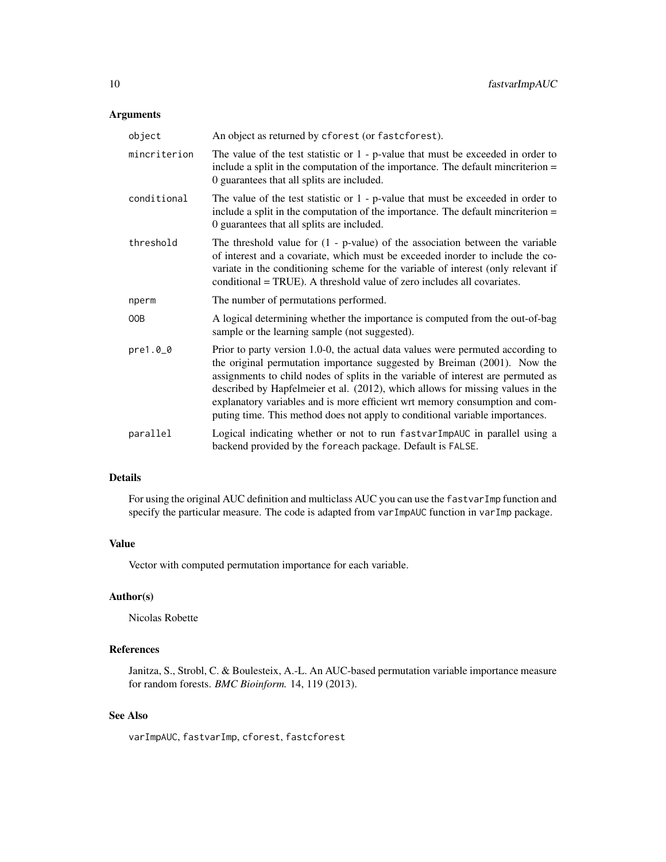# Arguments

| object       | An object as returned by cforest (or fast cforest).                                                                                                                                                                                                                                                                                                                                                                                                                                              |
|--------------|--------------------------------------------------------------------------------------------------------------------------------------------------------------------------------------------------------------------------------------------------------------------------------------------------------------------------------------------------------------------------------------------------------------------------------------------------------------------------------------------------|
| mincriterion | The value of the test statistic or $1$ - p-value that must be exceeded in order to<br>include a split in the computation of the importance. The default minoriterion $=$<br>0 guarantees that all splits are included.                                                                                                                                                                                                                                                                           |
| conditional  | The value of the test statistic or $1$ - p-value that must be exceeded in order to<br>include a split in the computation of the importance. The default minoriterion $=$<br>0 guarantees that all splits are included.                                                                                                                                                                                                                                                                           |
| threshold    | The threshold value for $(1 - p-value)$ of the association between the variable<br>of interest and a covariate, which must be exceeded inorder to include the co-<br>variate in the conditioning scheme for the variable of interest (only relevant if<br>conditional = TRUE). A threshold value of zero includes all covariates.                                                                                                                                                                |
| nperm        | The number of permutations performed.                                                                                                                                                                                                                                                                                                                                                                                                                                                            |
| 00B          | A logical determining whether the importance is computed from the out-of-bag<br>sample or the learning sample (not suggested).                                                                                                                                                                                                                                                                                                                                                                   |
| pre1.0_0     | Prior to party version 1.0-0, the actual data values were permuted according to<br>the original permutation importance suggested by Breiman (2001). Now the<br>assignments to child nodes of splits in the variable of interest are permuted as<br>described by Hapfelmeier et al. (2012), which allows for missing values in the<br>explanatory variables and is more efficient wrt memory consumption and com-<br>puting time. This method does not apply to conditional variable importances. |
| parallel     | Logical indicating whether or not to run fastvarImpAUC in parallel using a<br>backend provided by the foreach package. Default is FALSE.                                                                                                                                                                                                                                                                                                                                                         |

# Details

For using the original AUC definition and multiclass AUC you can use the fastvarImp function and specify the particular measure. The code is adapted from varImpAUC function in varImp package.

# Value

Vector with computed permutation importance for each variable.

# Author(s)

Nicolas Robette

# References

Janitza, S., Strobl, C. & Boulesteix, A.-L. An AUC-based permutation variable importance measure for random forests. *BMC Bioinform.* 14, 119 (2013).

# See Also

varImpAUC, fastvarImp, cforest, fastcforest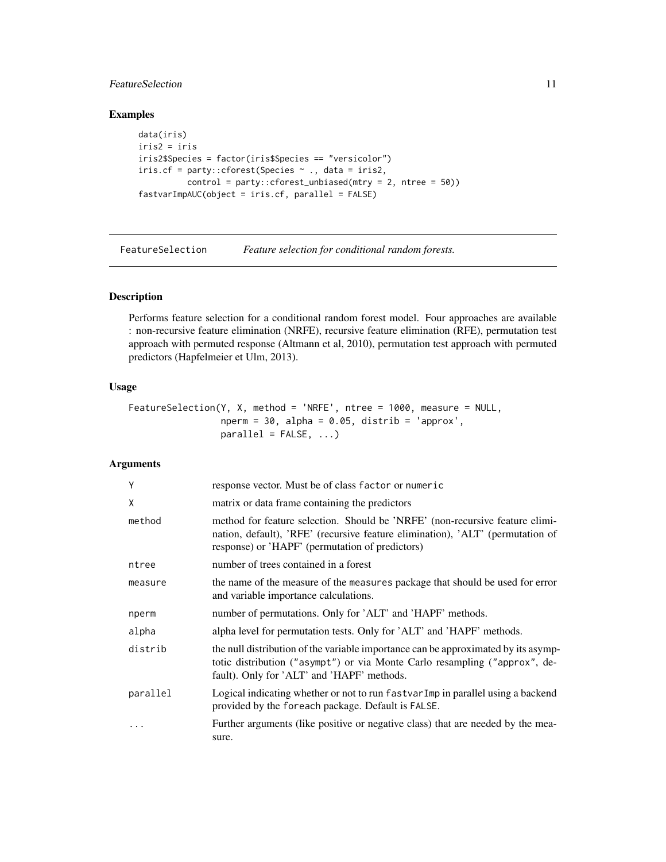# <span id="page-10-0"></span>**FeatureSelection** 11

# Examples

```
data(iris)
iris2 = iris
iris2$Species = factor(iris$Species == "versicolor")
iris.cf = party::cforest(Species ~ ., data = iris2,
          control = party::cforest_unbiased(mtry = 2, ntree = 50))
fastvarImpAUC(object = iris.cf, parallel = FALSE)
```
FeatureSelection *Feature selection for conditional random forests.*

#### Description

Performs feature selection for a conditional random forest model. Four approaches are available : non-recursive feature elimination (NRFE), recursive feature elimination (RFE), permutation test approach with permuted response (Altmann et al, 2010), permutation test approach with permuted predictors (Hapfelmeier et Ulm, 2013).

#### Usage

```
FeatureSelection(Y, X, method = 'NRFE', ntree = 1000, measure = NULL,
                nperm = 30, alpha = 0.05, distrib = 'approx',
                parallel = FALSE, ...
```
# Arguments

| Y        | response vector. Must be of class factor or numeric                                                                                                                                                               |
|----------|-------------------------------------------------------------------------------------------------------------------------------------------------------------------------------------------------------------------|
| X        | matrix or data frame containing the predictors                                                                                                                                                                    |
| method   | method for feature selection. Should be 'NRFE' (non-recursive feature elimi-<br>nation, default), 'RFE' (recursive feature elimination), 'ALT' (permutation of<br>response) or 'HAPF' (permutation of predictors) |
| ntree    | number of trees contained in a forest                                                                                                                                                                             |
| measure  | the name of the measure of the measures package that should be used for error<br>and variable importance calculations.                                                                                            |
| nperm    | number of permutations. Only for 'ALT' and 'HAPF' methods.                                                                                                                                                        |
| alpha    | alpha level for permutation tests. Only for 'ALT' and 'HAPF' methods.                                                                                                                                             |
| distrib  | the null distribution of the variable importance can be approximated by its asymp-<br>totic distribution ("asympt") or via Monte Carlo resampling ("approx", de-<br>fault). Only for 'ALT' and 'HAPF' methods.    |
| parallel | Logical indicating whether or not to run fastvar Imp in parallel using a backend<br>provided by the foreach package. Default is FALSE.                                                                            |
|          | Further arguments (like positive or negative class) that are needed by the mea-<br>sure.                                                                                                                          |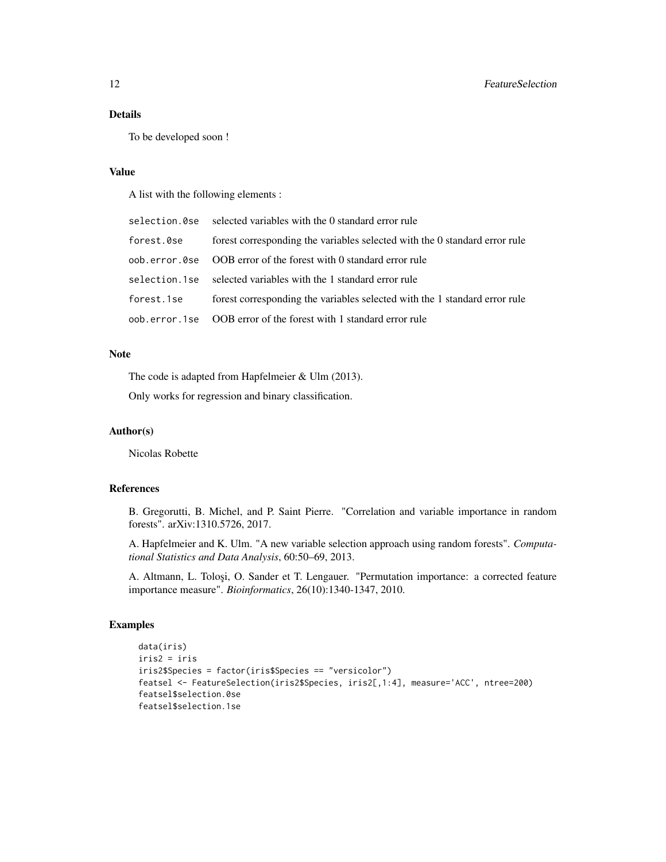# Details

To be developed soon !

#### Value

A list with the following elements :

|            | selection. Ose selected variables with the 0 standard error rule           |
|------------|----------------------------------------------------------------------------|
| forest.0se | forest corresponding the variables selected with the 0 standard error rule |
|            | oob, error, 0se OOB error of the forest with 0 standard error rule         |
|            | selection.1se selected variables with the 1 standard error rule            |
| forest.1se | forest corresponding the variables selected with the 1 standard error rule |
|            | oob, error, 1se OOB error of the forest with 1 standard error rule         |

# Note

The code is adapted from Hapfelmeier & Ulm (2013).

Only works for regression and binary classification.

# Author(s)

Nicolas Robette

#### References

B. Gregorutti, B. Michel, and P. Saint Pierre. "Correlation and variable importance in random forests". arXiv:1310.5726, 2017.

A. Hapfelmeier and K. Ulm. "A new variable selection approach using random forests". *Computational Statistics and Data Analysis*, 60:50–69, 2013.

A. Altmann, L. Toloşi, O. Sander et T. Lengauer. "Permutation importance: a corrected feature importance measure". *Bioinformatics*, 26(10):1340-1347, 2010.

```
data(iris)
iris2 = iris
iris2$Species = factor(iris$Species == "versicolor")
featsel <- FeatureSelection(iris2$Species, iris2[,1:4], measure='ACC', ntree=200)
featsel$selection.0se
featsel$selection.1se
```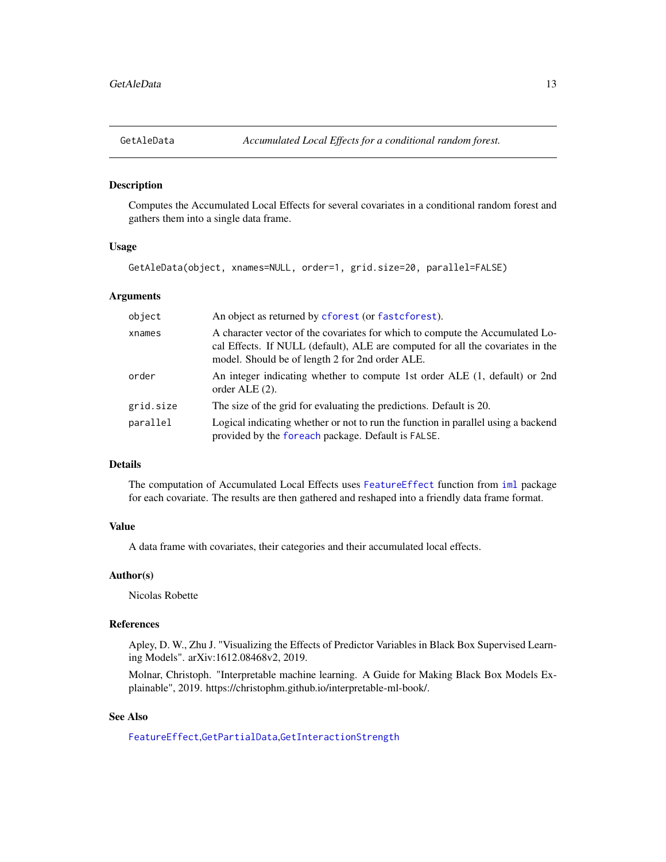<span id="page-12-1"></span><span id="page-12-0"></span>

# Description

Computes the Accumulated Local Effects for several covariates in a conditional random forest and gathers them into a single data frame.

#### Usage

GetAleData(object, xnames=NULL, order=1, grid.size=20, parallel=FALSE)

#### Arguments

| object    | An object as returned by cforest (or fast cforest).                                                                                                                                                                |
|-----------|--------------------------------------------------------------------------------------------------------------------------------------------------------------------------------------------------------------------|
| xnames    | A character vector of the covariates for which to compute the Accumulated Lo-<br>cal Effects. If NULL (default), ALE are computed for all the covariates in the<br>model. Should be of length 2 for 2nd order ALE. |
| order     | An integer indicating whether to compute 1st order ALE (1, default) or 2nd<br>order ALE $(2)$ .                                                                                                                    |
| grid.size | The size of the grid for evaluating the predictions. Default is 20.                                                                                                                                                |
| parallel  | Logical indicating whether or not to run the function in parallel using a backend<br>provided by the foreach package. Default is FALSE.                                                                            |

#### Details

The computation of Accumulated Local Effects uses [FeatureEffect](#page-0-0) function from [iml](#page-0-0) package for each covariate. The results are then gathered and reshaped into a friendly data frame format.

#### Value

A data frame with covariates, their categories and their accumulated local effects.

# Author(s)

Nicolas Robette

# References

Apley, D. W., Zhu J. "Visualizing the Effects of Predictor Variables in Black Box Supervised Learning Models". arXiv:1612.08468v2, 2019.

Molnar, Christoph. "Interpretable machine learning. A Guide for Making Black Box Models Explainable", 2019. https://christophm.github.io/interpretable-ml-book/.

# See Also

[FeatureEffect](#page-0-0),[GetPartialData](#page-15-1),[GetInteractionStrength](#page-14-1)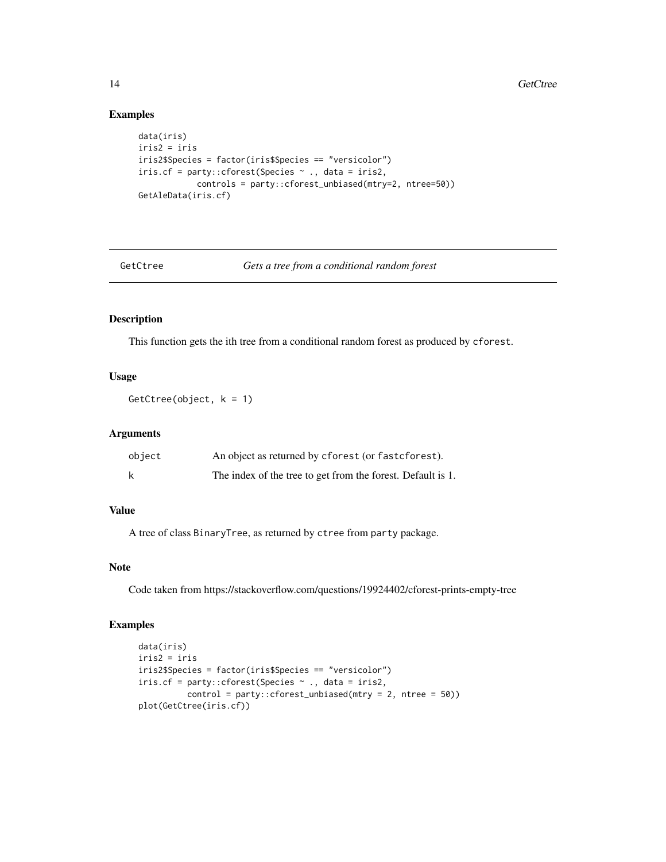# Examples

```
data(iris)
iris2 = iris
iris2$Species = factor(iris$Species == "versicolor")
iris.cf = party::cforest(Species \sim ., data = iris2,
            controls = party::cforest_unbiased(mtry=2, ntree=50))
GetAleData(iris.cf)
```
GetCtree *Gets a tree from a conditional random forest*

# Description

This function gets the ith tree from a conditional random forest as produced by cforest.

# Usage

GetCtree(object,  $k = 1$ )

#### Arguments

| object | An object as returned by cforest (or fast cforest).         |
|--------|-------------------------------------------------------------|
| k      | The index of the tree to get from the forest. Default is 1. |

# Value

A tree of class BinaryTree, as returned by ctree from party package.

### Note

Code taken from https://stackoverflow.com/questions/19924402/cforest-prints-empty-tree

```
data(iris)
iris2 = iris
iris2$Species = factor(iris$Species == "versicolor")
iris.cf = party::cforest(Species ~ ., data = iris2,
          control = party::cforest_unbiased(mtry = 2, ntree = 50))
plot(GetCtree(iris.cf))
```
<span id="page-13-0"></span>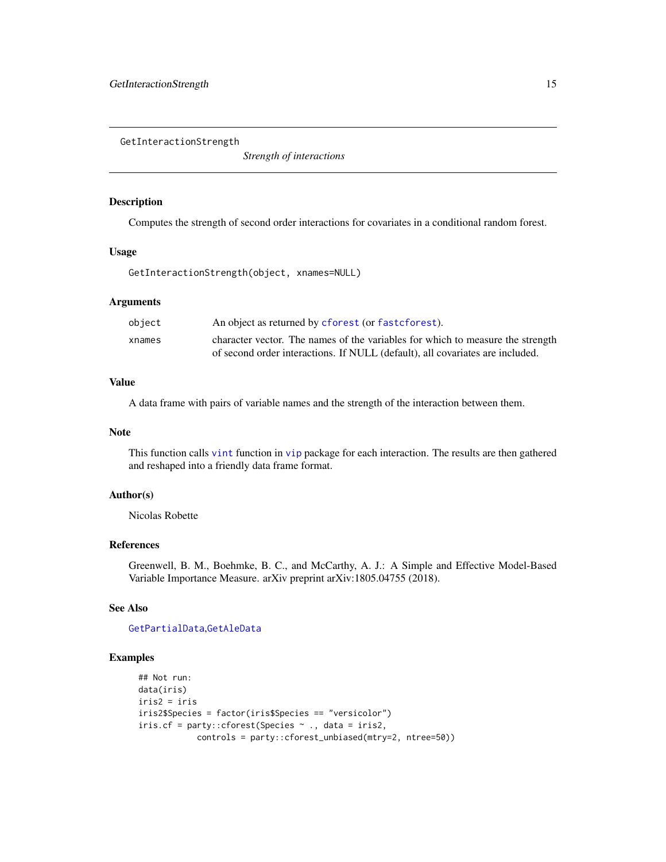<span id="page-14-1"></span><span id="page-14-0"></span>GetInteractionStrength

*Strength of interactions*

#### Description

Computes the strength of second order interactions for covariates in a conditional random forest.

#### Usage

GetInteractionStrength(object, xnames=NULL)

#### Arguments

| object | An object as returned by cforest (or fast cforest).                            |
|--------|--------------------------------------------------------------------------------|
| xnames | character vector. The names of the variables for which to measure the strength |
|        | of second order interactions. If NULL (default), all covariates are included.  |

# Value

A data frame with pairs of variable names and the strength of the interaction between them.

#### Note

This function calls [vint](#page-0-0) function in [vip](#page-0-0) package for each interaction. The results are then gathered and reshaped into a friendly data frame format.

#### Author(s)

Nicolas Robette

#### References

Greenwell, B. M., Boehmke, B. C., and McCarthy, A. J.: A Simple and Effective Model-Based Variable Importance Measure. arXiv preprint arXiv:1805.04755 (2018).

# See Also

#### [GetPartialData](#page-15-1),[GetAleData](#page-12-1)

```
## Not run:
data(iris)
iris2 = iris
iris2$Species = factor(iris$Species == "versicolor")
iris.cf = party::cforest(Species ~ ., data = iris2,
            controls = party::cforest_unbiased(mtry=2, ntree=50))
```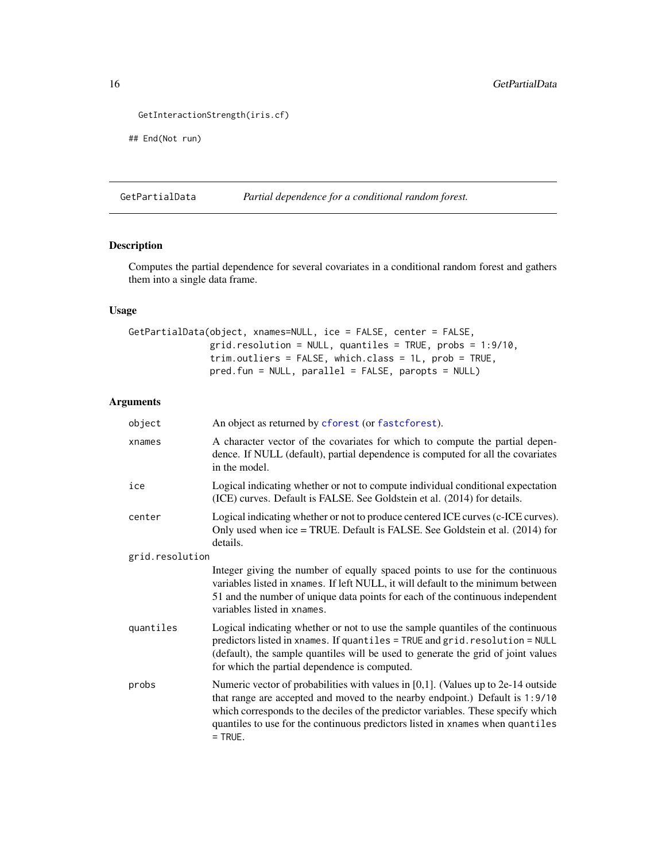```
GetInteractionStrength(iris.cf)
```

```
## End(Not run)
```
<span id="page-15-1"></span>GetPartialData *Partial dependence for a conditional random forest.*

# Description

Computes the partial dependence for several covariates in a conditional random forest and gathers them into a single data frame.

# Usage

```
GetPartialData(object, xnames=NULL, ice = FALSE, center = FALSE,
               grid.resolution = NULL, quantiles = TRUE, probs = 1:9/10,
               trim.outliers = FALSE, which.class = 1L, prob = TRUE,
               pred.fun = NULL, parallel = FALSE, paropts = NULL)
```
# Arguments

| object          | An object as returned by cforest (or fastcforest).                                                                                                                                                                                                                                                                                                      |
|-----------------|---------------------------------------------------------------------------------------------------------------------------------------------------------------------------------------------------------------------------------------------------------------------------------------------------------------------------------------------------------|
| xnames          | A character vector of the covariates for which to compute the partial depen-<br>dence. If NULL (default), partial dependence is computed for all the covariates<br>in the model.                                                                                                                                                                        |
| ice             | Logical indicating whether or not to compute individual conditional expectation<br>(ICE) curves. Default is FALSE. See Goldstein et al. (2014) for details.                                                                                                                                                                                             |
| center          | Logical indicating whether or not to produce centered ICE curves (c-ICE curves).<br>Only used when ice = TRUE. Default is FALSE. See Goldstein et al. (2014) for<br>details.                                                                                                                                                                            |
| grid.resolution |                                                                                                                                                                                                                                                                                                                                                         |
|                 | Integer giving the number of equally spaced points to use for the continuous<br>variables listed in xnames. If left NULL, it will default to the minimum between<br>51 and the number of unique data points for each of the continuous independent<br>variables listed in xnames.                                                                       |
| quantiles       | Logical indicating whether or not to use the sample quantiles of the continuous<br>predictors listed in xnames. If quantiles = TRUE and grid. resolution = NULL<br>(default), the sample quantiles will be used to generate the grid of joint values<br>for which the partial dependence is computed.                                                   |
| probs           | Numeric vector of probabilities with values in $[0,1]$ . (Values up to 2e-14 outside<br>that range are accepted and moved to the nearby endpoint.) Default is 1:9/10<br>which corresponds to the deciles of the predictor variables. These specify which<br>quantiles to use for the continuous predictors listed in xnames when quantiles<br>$=$ TRUE. |

<span id="page-15-0"></span>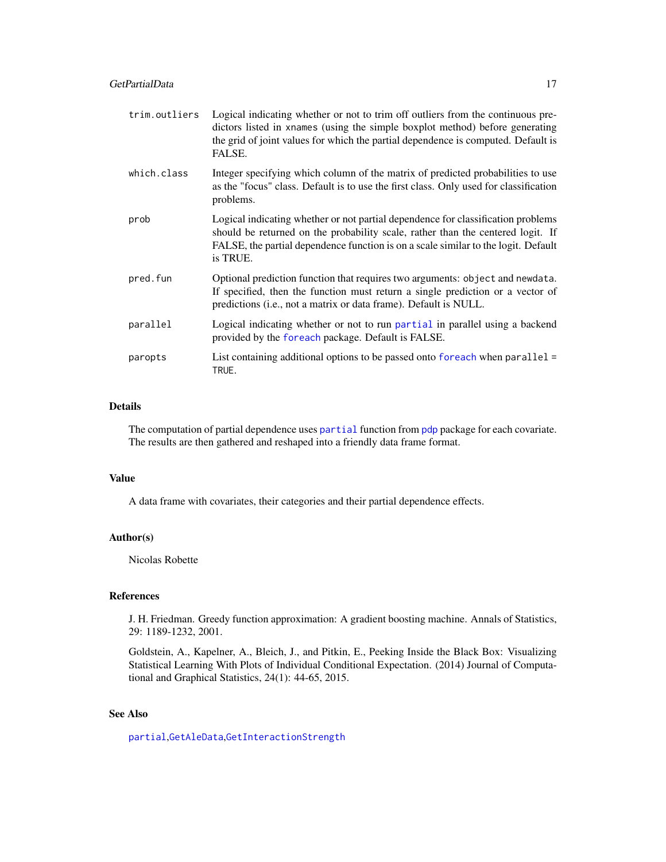<span id="page-16-0"></span>

| trim.outliers | Logical indicating whether or not to trim off outliers from the continuous pre-<br>dictors listed in xnames (using the simple boxplot method) before generating<br>the grid of joint values for which the partial dependence is computed. Default is<br>FALSE.        |
|---------------|-----------------------------------------------------------------------------------------------------------------------------------------------------------------------------------------------------------------------------------------------------------------------|
| which.class   | Integer specifying which column of the matrix of predicted probabilities to use<br>as the "focus" class. Default is to use the first class. Only used for classification<br>problems.                                                                                 |
| prob          | Logical indicating whether or not partial dependence for classification problems<br>should be returned on the probability scale, rather than the centered logit. If<br>FALSE, the partial dependence function is on a scale similar to the logit. Default<br>is TRUE. |
| pred.fun      | Optional prediction function that requires two arguments: object and newdata.<br>If specified, then the function must return a single prediction or a vector of<br>predictions (i.e., not a matrix or data frame). Default is NULL.                                   |
| parallel      | Logical indicating whether or not to run partial in parallel using a backend<br>provided by the foreach package. Default is FALSE.                                                                                                                                    |
| paropts       | List containing additional options to be passed onto foreach when $parallel =$<br>TRUE.                                                                                                                                                                               |

#### Details

The computation of [partial](#page-0-0) dependence uses partial function from [pdp](#page-0-0) package for each covariate. The results are then gathered and reshaped into a friendly data frame format.

# Value

A data frame with covariates, their categories and their partial dependence effects.

# Author(s)

Nicolas Robette

# References

J. H. Friedman. Greedy function approximation: A gradient boosting machine. Annals of Statistics, 29: 1189-1232, 2001.

Goldstein, A., Kapelner, A., Bleich, J., and Pitkin, E., Peeking Inside the Black Box: Visualizing Statistical Learning With Plots of Individual Conditional Expectation. (2014) Journal of Computational and Graphical Statistics, 24(1): 44-65, 2015.

# See Also

[partial](#page-0-0),[GetAleData](#page-12-1),[GetInteractionStrength](#page-14-1)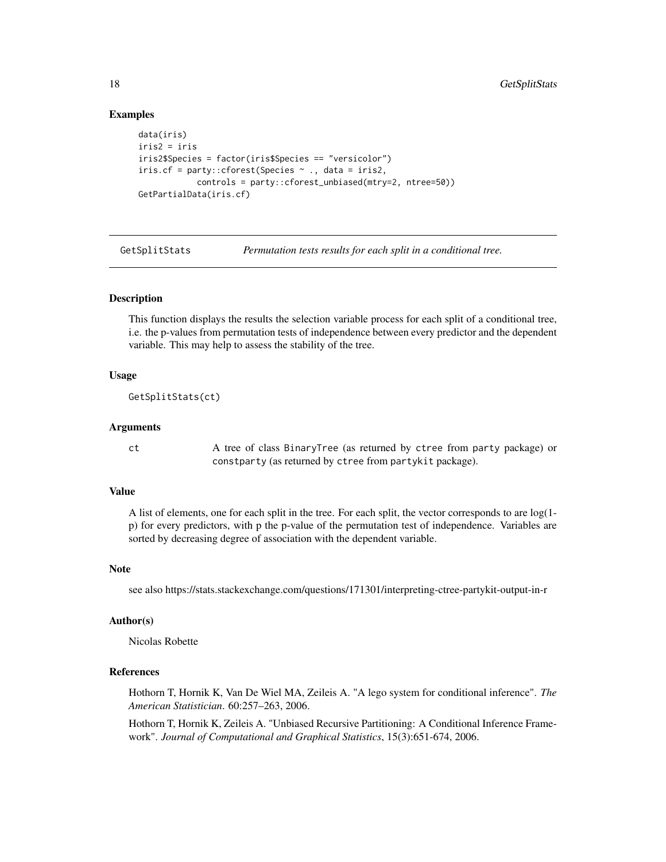# Examples

```
data(iris)
iris2 = iris
iris2$Species = factor(iris$Species == "versicolor")
iris.cf = party::cforest(Species \sim ., data = iris2,
            controls = party::cforest_unbiased(mtry=2, ntree=50))
GetPartialData(iris.cf)
```
GetSplitStats *Permutation tests results for each split in a conditional tree.*

#### Description

This function displays the results the selection variable process for each split of a conditional tree, i.e. the p-values from permutation tests of independence between every predictor and the dependent variable. This may help to assess the stability of the tree.

#### Usage

```
GetSplitStats(ct)
```
#### Arguments

ct A tree of class BinaryTree (as returned by ctree from party package) or constparty (as returned by ctree from partykit package).

# Value

A list of elements, one for each split in the tree. For each split, the vector corresponds to are log(1 p) for every predictors, with p the p-value of the permutation test of independence. Variables are sorted by decreasing degree of association with the dependent variable.

# Note

see also https://stats.stackexchange.com/questions/171301/interpreting-ctree-partykit-output-in-r

#### Author(s)

Nicolas Robette

#### References

Hothorn T, Hornik K, Van De Wiel MA, Zeileis A. "A lego system for conditional inference". *The American Statistician*. 60:257–263, 2006.

Hothorn T, Hornik K, Zeileis A. "Unbiased Recursive Partitioning: A Conditional Inference Framework". *Journal of Computational and Graphical Statistics*, 15(3):651-674, 2006.

<span id="page-17-0"></span>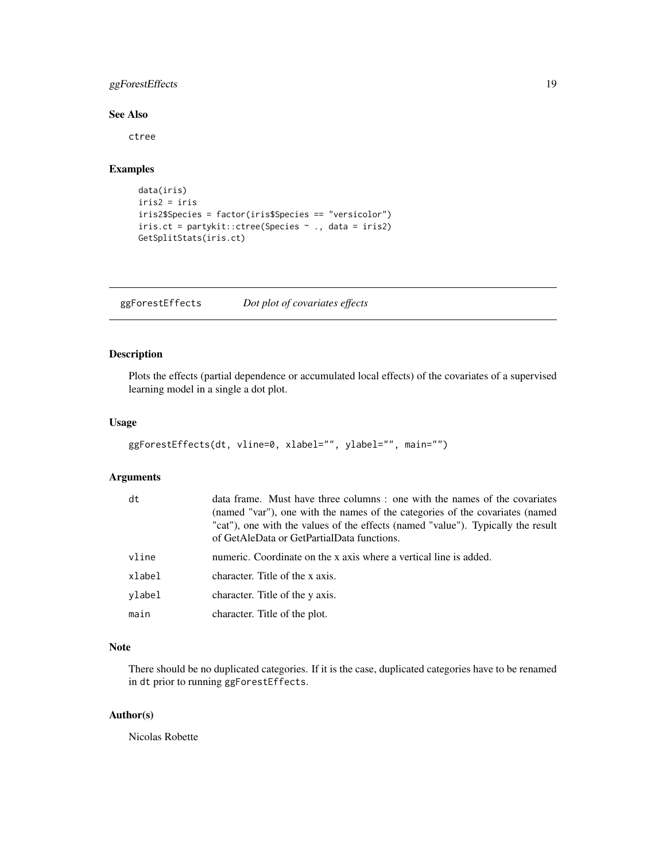# <span id="page-18-0"></span>ggForestEffects 19

## See Also

ctree

# Examples

```
data(iris)
iris2 = iris
iris2$Species = factor(iris$Species == "versicolor")
iris.ct = partykit::ctree(Species ~ ., data = iris2)
GetSplitStats(iris.ct)
```
ggForestEffects *Dot plot of covariates effects*

# Description

Plots the effects (partial dependence or accumulated local effects) of the covariates of a supervised learning model in a single a dot plot.

#### Usage

```
ggForestEffects(dt, vline=0, xlabel="", ylabel="", main="")
```
#### Arguments

| dt     | data frame. Must have three columns: one with the names of the covariates<br>(named "var"), one with the names of the categories of the covariates (named<br>"cat"), one with the values of the effects (named "value"). Typically the result<br>of GetAleData or GetPartialData functions. |
|--------|---------------------------------------------------------------------------------------------------------------------------------------------------------------------------------------------------------------------------------------------------------------------------------------------|
| vline  | numeric. Coordinate on the x axis where a vertical line is added.                                                                                                                                                                                                                           |
| xlabel | character. Title of the x axis.                                                                                                                                                                                                                                                             |
| vlabel | character. Title of the y axis.                                                                                                                                                                                                                                                             |
| main   | character. Title of the plot.                                                                                                                                                                                                                                                               |

# Note

There should be no duplicated categories. If it is the case, duplicated categories have to be renamed in dt prior to running ggForestEffects.

#### Author(s)

Nicolas Robette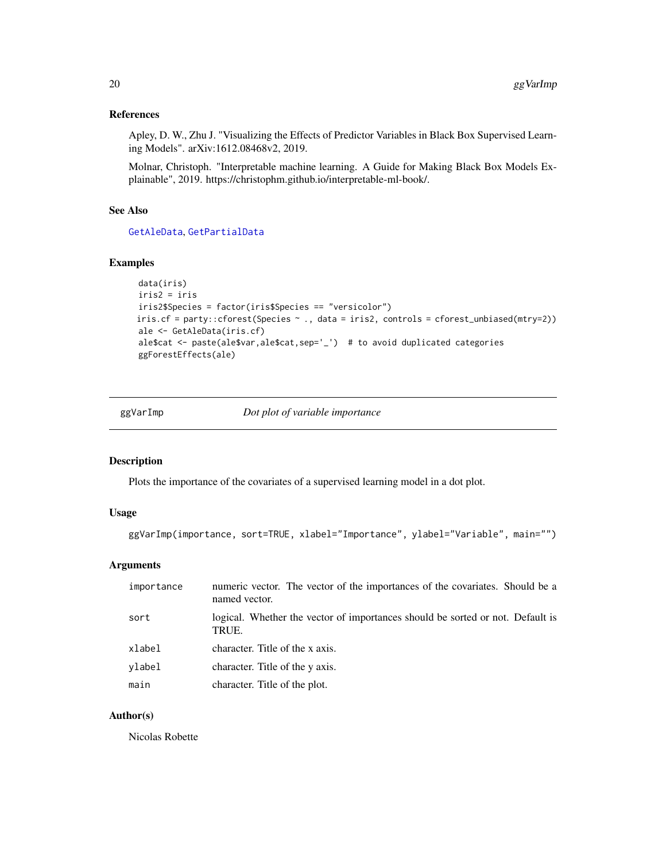# <span id="page-19-0"></span>References

Apley, D. W., Zhu J. "Visualizing the Effects of Predictor Variables in Black Box Supervised Learning Models". arXiv:1612.08468v2, 2019.

Molnar, Christoph. "Interpretable machine learning. A Guide for Making Black Box Models Explainable", 2019. https://christophm.github.io/interpretable-ml-book/.

# See Also

[GetAleData](#page-12-1), [GetPartialData](#page-15-1)

# Examples

```
data(iris)
iris2 = iris
iris2$Species = factor(iris$Species == "versicolor")
iris.cf = party::cforest(Species ~ ., data = iris2, controls = cforest_unbiased(mtry=2))
ale <- GetAleData(iris.cf)
ale$cat <- paste(ale$var,ale$cat,sep='_') # to avoid duplicated categories
ggForestEffects(ale)
```
ggVarImp *Dot plot of variable importance*

# Description

Plots the importance of the covariates of a supervised learning model in a dot plot.

# Usage

```
ggVarImp(importance, sort=TRUE, xlabel="Importance", ylabel="Variable", main="")
```
#### Arguments

| importance | numeric vector. The vector of the importances of the covariates. Should be a<br>named vector. |
|------------|-----------------------------------------------------------------------------------------------|
| sort       | logical. Whether the vector of importances should be sorted or not. Default is<br>TRUE.       |
| xlabel     | character. Title of the x axis.                                                               |
| vlabel     | character. Title of the y axis.                                                               |
| main       | character. Title of the plot.                                                                 |

### Author(s)

Nicolas Robette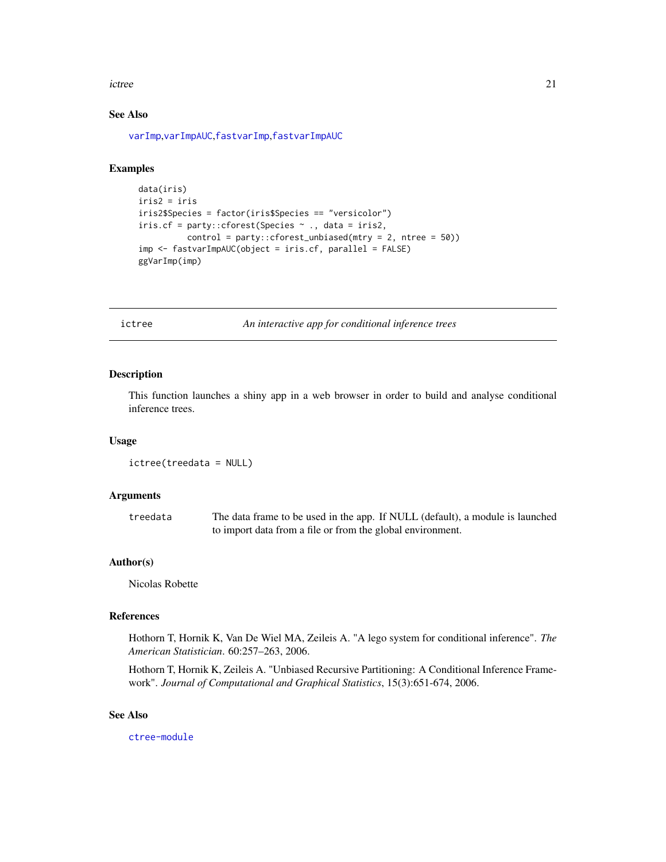#### <span id="page-20-0"></span>ictree 21

# See Also

[varImp](#page-0-0),[varImpAUC](#page-0-0),[fastvarImp](#page-7-1),[fastvarImpAUC](#page-8-1)

# Examples

```
data(iris)
iris2 = iris
iris2$Species = factor(iris$Species == "versicolor")
iris.cf = party::cforest(Species ~ ., data = iris2,
          control = party::cforest_unbiased(mtry = 2, ntree = 50))
imp <- fastvarImpAUC(object = iris.cf, parallel = FALSE)
ggVarImp(imp)
```
<span id="page-20-1"></span>ictree *An interactive app for conditional inference trees*

# Description

This function launches a shiny app in a web browser in order to build and analyse conditional inference trees.

#### Usage

```
ictree(treedata = NULL)
```
#### Arguments

treedata The data frame to be used in the app. If NULL (default), a module is launched to import data from a file or from the global environment.

# Author(s)

Nicolas Robette

# References

Hothorn T, Hornik K, Van De Wiel MA, Zeileis A. "A lego system for conditional inference". *The American Statistician*. 60:257–263, 2006.

Hothorn T, Hornik K, Zeileis A. "Unbiased Recursive Partitioning: A Conditional Inference Framework". *Journal of Computational and Graphical Statistics*, 15(3):651-674, 2006.

### See Also

[ctree-module](#page-3-1)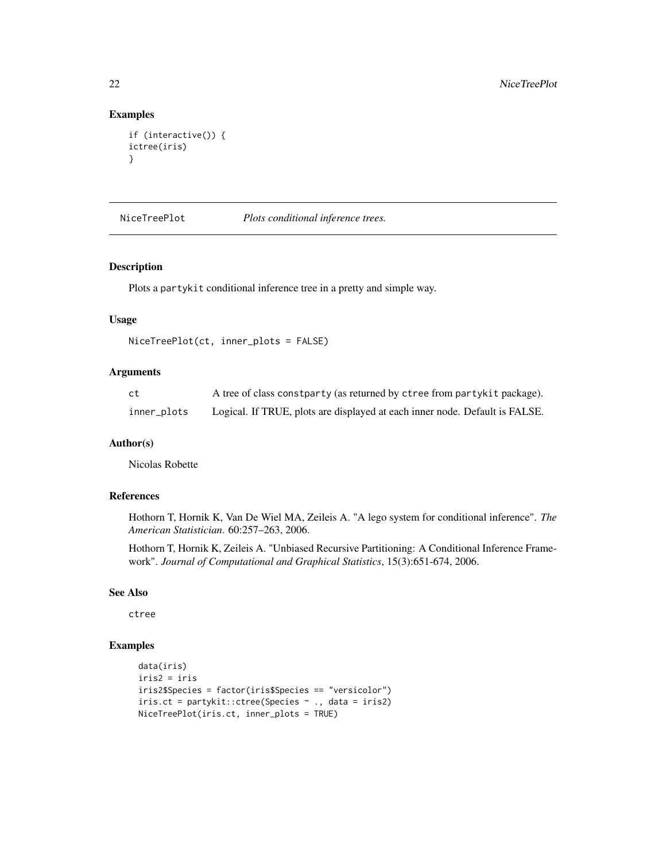# Examples

```
if (interactive()) {
ictree(iris)
}
```
NiceTreePlot *Plots conditional inference trees.*

#### Description

Plots a partykit conditional inference tree in a pretty and simple way.

#### Usage

```
NiceTreePlot(ct, inner_plots = FALSE)
```
# Arguments

| -ct         | A tree of class constparty (as returned by ctree from partykit package).    |
|-------------|-----------------------------------------------------------------------------|
| inner_plots | Logical. If TRUE, plots are displayed at each inner node. Default is FALSE. |

# Author(s)

Nicolas Robette

# References

Hothorn T, Hornik K, Van De Wiel MA, Zeileis A. "A lego system for conditional inference". *The American Statistician*. 60:257–263, 2006.

Hothorn T, Hornik K, Zeileis A. "Unbiased Recursive Partitioning: A Conditional Inference Framework". *Journal of Computational and Graphical Statistics*, 15(3):651-674, 2006.

#### See Also

ctree

```
data(iris)
iris2 = iris
iris2$Species = factor(iris$Species == "versicolor")
iris.ct = partykit::ctree(Species ~ ., data = iris2)
NiceTreePlot(iris.ct, inner_plots = TRUE)
```
<span id="page-21-0"></span>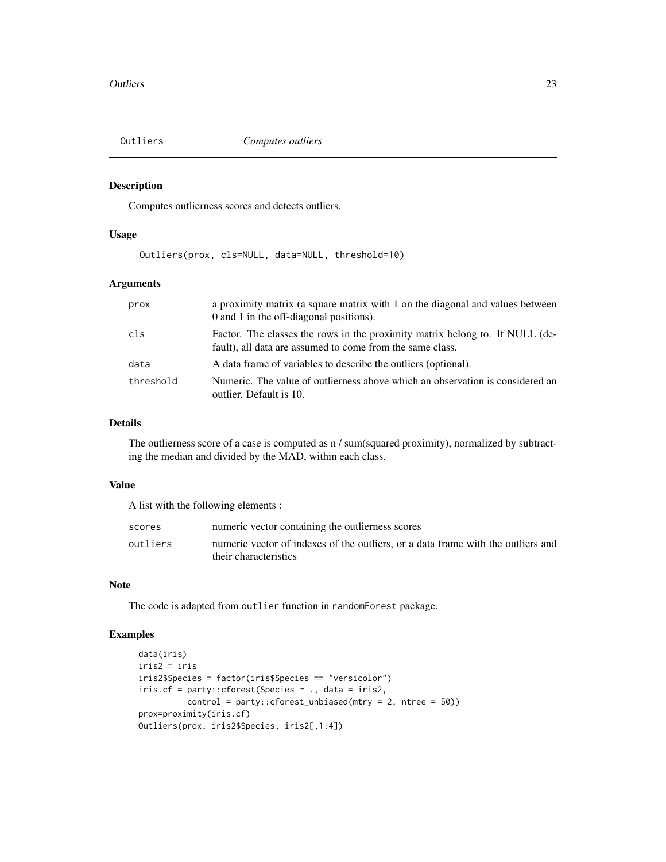<span id="page-22-0"></span>

# Description

Computes outlierness scores and detects outliers.

# Usage

Outliers(prox, cls=NULL, data=NULL, threshold=10)

# Arguments

| prox      | a proximity matrix (a square matrix with 1 on the diagonal and values between<br>0 and 1 in the off-diagonal positions).                  |
|-----------|-------------------------------------------------------------------------------------------------------------------------------------------|
| cls       | Factor. The classes the rows in the proximity matrix belong to. If NULL (de-<br>fault), all data are assumed to come from the same class. |
| data      | A data frame of variables to describe the outliers (optional).                                                                            |
| threshold | Numeric. The value of outlierness above which an observation is considered an<br>outlier. Default is 10.                                  |

#### Details

The outlierness score of a case is computed as n / sum(squared proximity), normalized by subtracting the median and divided by the MAD, within each class.

# Value

A list with the following elements :

| scores   | numeric vector containing the outlierness scores                                                          |
|----------|-----------------------------------------------------------------------------------------------------------|
| outliers | numeric vector of indexes of the outliers, or a data frame with the outliers and<br>their characteristics |

# Note

The code is adapted from outlier function in randomForest package.

```
data(iris)
iris2 = iris
iris2$Species = factor(iris$Species == "versicolor")
iris.cf = party::cforest(Species ~ ., data = iris2,
          control = party::cforest_unbiased(mtry = 2, ntree = 50))
prox=proximity(iris.cf)
Outliers(prox, iris2$Species, iris2[,1:4])
```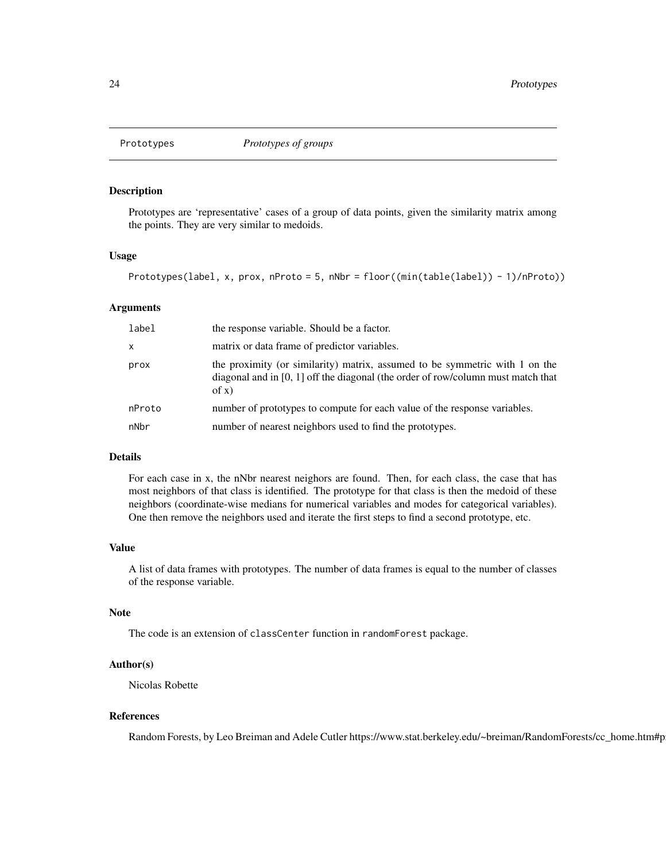<span id="page-23-0"></span>

# **Description**

Prototypes are 'representative' cases of a group of data points, given the similarity matrix among the points. They are very similar to medoids.

#### Usage

```
Prototypes(label, x, prox, nProto = 5, nNbr = floor((min(table(label)) - 1)/nProto))
```
#### Arguments

| label  | the response variable. Should be a factor.                                                                                                                                   |
|--------|------------------------------------------------------------------------------------------------------------------------------------------------------------------------------|
| x      | matrix or data frame of predictor variables.                                                                                                                                 |
| prox   | the proximity (or similarity) matrix, assumed to be symmetric with 1 on the<br>diagonal and in $[0, 1]$ off the diagonal (the order of row/column must match that<br>of $x)$ |
| nProto | number of prototypes to compute for each value of the response variables.                                                                                                    |
| nNbr   | number of nearest neighbors used to find the prototypes.                                                                                                                     |

#### Details

For each case in x, the nNbr nearest neighors are found. Then, for each class, the case that has most neighbors of that class is identified. The prototype for that class is then the medoid of these neighbors (coordinate-wise medians for numerical variables and modes for categorical variables). One then remove the neighbors used and iterate the first steps to find a second prototype, etc.

#### Value

A list of data frames with prototypes. The number of data frames is equal to the number of classes of the response variable.

#### Note

The code is an extension of classCenter function in randomForest package.

# Author(s)

Nicolas Robette

### References

Random Forests, by Leo Breiman and Adele Cutler https://www.stat.berkeley.edu/~breiman/RandomForests/cc\_home.htm#p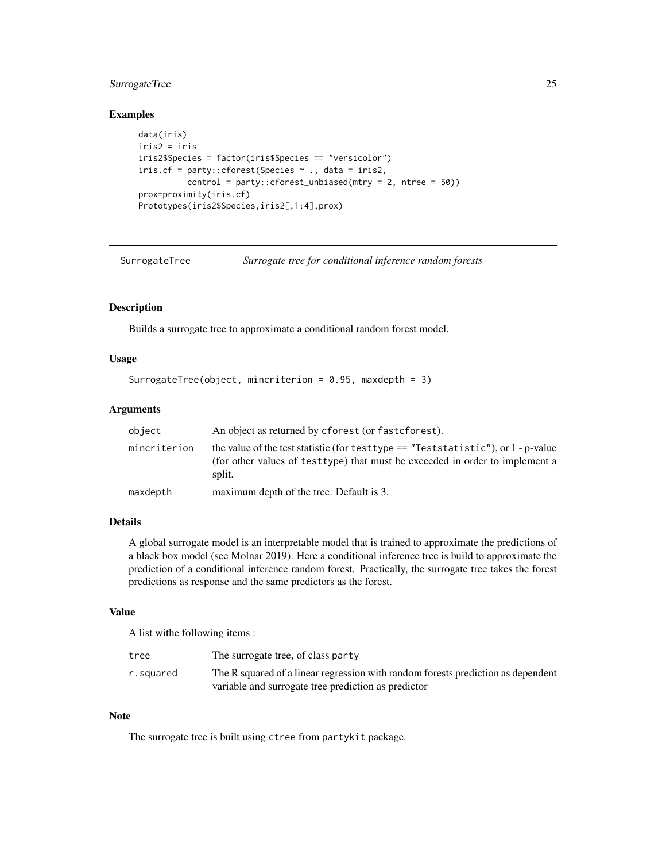# <span id="page-24-0"></span>SurrogateTree 25

# Examples

```
data(iris)
iris2 = iris
iris2$Species = factor(iris$Species == "versicolor")
iris.cf = party::cforest(Species \sim ., data = iris2,
          control = party::cforest_unbiased(mtry = 2, ntree = 50))
prox=proximity(iris.cf)
Prototypes(iris2$Species,iris2[,1:4],prox)
```
SurrogateTree *Surrogate tree for conditional inference random forests*

# Description

Builds a surrogate tree to approximate a conditional random forest model.

#### Usage

```
SurrogateTree(object, mincriterion = 0.95, maxdepth = 3)
```
#### Arguments

| object       | An object as returned by cforest (or fast cforest).                                                                                                                             |
|--------------|---------------------------------------------------------------------------------------------------------------------------------------------------------------------------------|
| mincriterion | the value of the test statistic (for test type $==$ "Test statistic"), or 1 - p-value<br>(for other values of testtype) that must be exceeded in order to implement a<br>split. |
| maxdepth     | maximum depth of the tree. Default is 3.                                                                                                                                        |

#### Details

A global surrogate model is an interpretable model that is trained to approximate the predictions of a black box model (see Molnar 2019). Here a conditional inference tree is build to approximate the prediction of a conditional inference random forest. Practically, the surrogate tree takes the forest predictions as response and the same predictors as the forest.

#### Value

A list withe following items :

| tree      | The surrogate tree, of class party                                               |
|-----------|----------------------------------------------------------------------------------|
| r.squared | The R squared of a linear regression with random forests prediction as dependent |
|           | variable and surrogate tree prediction as predictor                              |

#### Note

The surrogate tree is built using ctree from partykit package.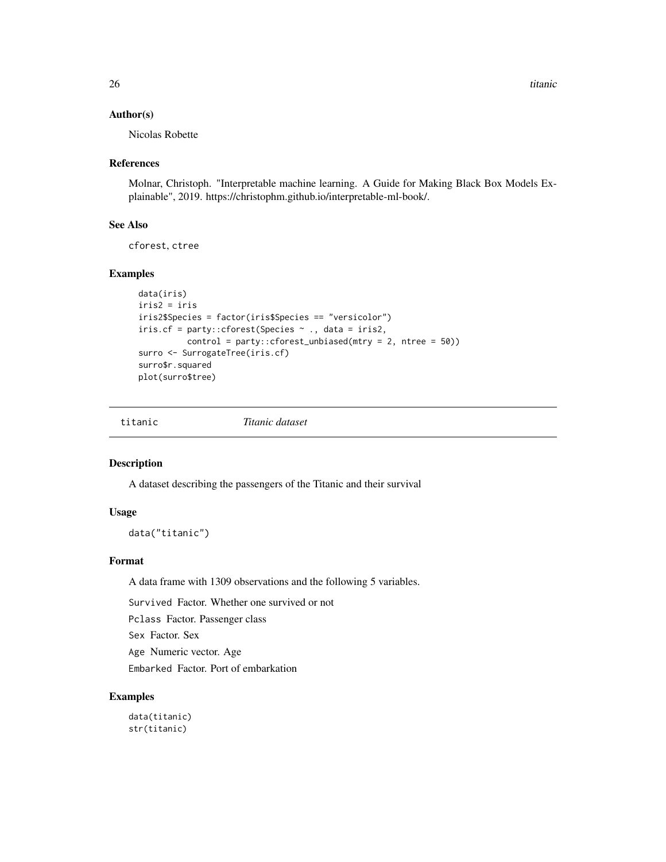#### <span id="page-25-0"></span>Author(s)

Nicolas Robette

# References

Molnar, Christoph. "Interpretable machine learning. A Guide for Making Black Box Models Explainable", 2019. https://christophm.github.io/interpretable-ml-book/.

# See Also

cforest, ctree

# Examples

```
data(iris)
iris2 = iris
iris2$Species = factor(iris$Species == "versicolor")
iris.cf = party::cforest(Species ~ ., data = iris2,
          control = party::cforest_unbiased(mtry = 2, ntree = 50))
surro <- SurrogateTree(iris.cf)
surro$r.squared
plot(surro$tree)
```
titanic *Titanic dataset*

#### Description

A dataset describing the passengers of the Titanic and their survival

#### Usage

data("titanic")

# Format

A data frame with 1309 observations and the following 5 variables.

Survived Factor. Whether one survived or not

Pclass Factor. Passenger class

Sex Factor. Sex

Age Numeric vector. Age

Embarked Factor. Port of embarkation

# Examples

data(titanic) str(titanic)